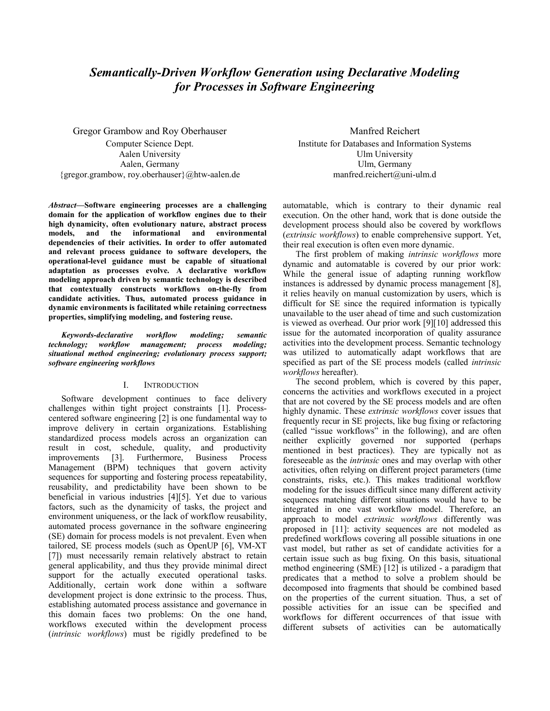# *Semantically-Driven Workflow Generation using Declarative Modeling for Processes in Software Engineering*

Gregor Grambow and Roy Oberhauser Computer Science Dept. Aalen University Aalen, Germany {gregor.grambow, roy.oberhauser}@htw-aalen.de

*Abstract***—Software engineering processes are a challenging domain for the application of workflow engines due to their high dynamicity, often evolutionary nature, abstract process models, and the informational and environmental dependencies of their activities. In order to offer automated and relevant process guidance to software developers, the operational-level guidance must be capable of situational adaptation as processes evolve. A declarative workflow modeling approach driven by semantic technology is described that contextually constructs workflows on-the-fly from candidate activities. Thus, automated process guidance in dynamic environments is facilitated while retaining correctness properties, simplifying modeling, and fostering reuse.** 

*Keywords-declarative workflow modeling; semantic technology; workflow management; process modeling; situational method engineering; evolutionary process support; software engineering workflows* 

#### I. INTRODUCTION

Software development continues to face delivery challenges within tight project constraints [1]. Processcentered software engineering [2] is one fundamental way to improve delivery in certain organizations. Establishing standardized process models across an organization can result in cost, schedule, quality, and productivity improvements [3]. Furthermore, Business Process Management (BPM) techniques that govern activity sequences for supporting and fostering process repeatability, reusability, and predictability have been shown to be beneficial in various industries [4][5]. Yet due to various factors, such as the dynamicity of tasks, the project and environment uniqueness, or the lack of workflow reusability, automated process governance in the software engineering (SE) domain for process models is not prevalent. Even when tailored, SE process models (such as OpenUP [6], VM-XT [7]) must necessarily remain relatively abstract to retain general applicability, and thus they provide minimal direct support for the actually executed operational tasks. Additionally, certain work done within a software development project is done extrinsic to the process. Thus, establishing automated process assistance and governance in this domain faces two problems: On the one hand, workflows executed within the development process (*intrinsic workflows*) must be rigidly predefined to be

Manfred Reichert Institute for Databases and Information Systems Ulm University Ulm, Germany manfred.reichert@uni-ulm.d

automatable, which is contrary to their dynamic real execution. On the other hand, work that is done outside the development process should also be covered by workflows (*extrinsic workflows*) to enable comprehensive support. Yet, their real execution is often even more dynamic.

The first problem of making *intrinsic workflows* more dynamic and automatable is covered by our prior work: While the general issue of adapting running workflow instances is addressed by dynamic process management [8], it relies heavily on manual customization by users, which is difficult for SE since the required information is typically unavailable to the user ahead of time and such customization is viewed as overhead. Our prior work [9][10] addressed this issue for the automated incorporation of quality assurance activities into the development process. Semantic technology was utilized to automatically adapt workflows that are specified as part of the SE process models (called *intrinsic workflows* hereafter).

The second problem, which is covered by this paper, concerns the activities and workflows executed in a project that are not covered by the SE process models and are often highly dynamic. These *extrinsic workflows* cover issues that frequently recur in SE projects, like bug fixing or refactoring (called "issue workflows" in the following), and are often neither explicitly governed nor supported (perhaps mentioned in best practices). They are typically not as foreseeable as the *intrinsic* ones and may overlap with other activities, often relying on different project parameters (time constraints, risks, etc.). This makes traditional workflow modeling for the issues difficult since many different activity sequences matching different situations would have to be integrated in one vast workflow model. Therefore, an approach to model *extrinsic workflows* differently was proposed in [11]: activity sequences are not modeled as predefined workflows covering all possible situations in one vast model, but rather as set of candidate activities for a certain issue such as bug fixing. On this basis, situational method engineering (SME) [12] is utilized - a paradigm that predicates that a method to solve a problem should be decomposed into fragments that should be combined based on the properties of the current situation. Thus, a set of possible activities for an issue can be specified and workflows for different occurrences of that issue with different subsets of activities can be automatically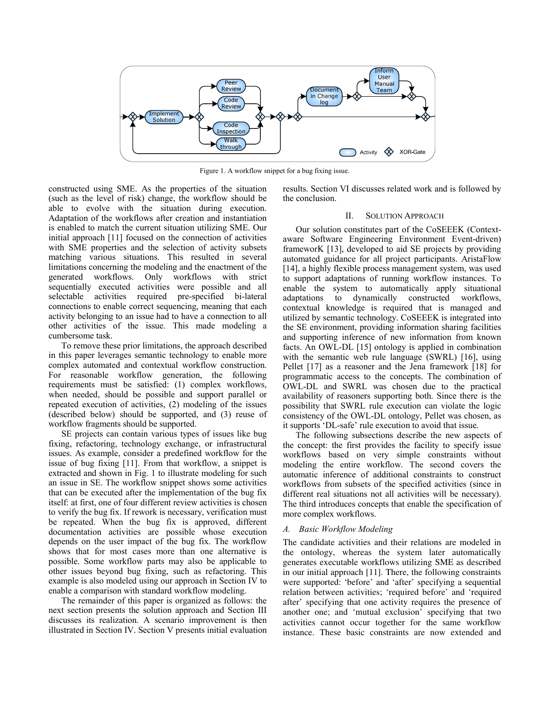

Figure 1. A workflow snippet for a bug fixing issue.

constructed using SME. As the properties of the situation (such as the level of risk) change, the workflow should be able to evolve with the situation during execution. Adaptation of the workflows after creation and instantiation is enabled to match the current situation utilizing SME. Our initial approach [11] focused on the connection of activities with SME properties and the selection of activity subsets matching various situations. This resulted in several limitations concerning the modeling and the enactment of the generated workflows. Only workflows with strict sequentially executed activities were possible and all selectable activities required pre-specified bi-lateral connections to enable correct sequencing, meaning that each activity belonging to an issue had to have a connection to all other activities of the issue. This made modeling a cumbersome task.

To remove these prior limitations, the approach described in this paper leverages semantic technology to enable more complex automated and contextual workflow construction. For reasonable workflow generation, the following requirements must be satisfied: (1) complex workflows, when needed, should be possible and support parallel or repeated execution of activities, (2) modeling of the issues (described below) should be supported, and (3) reuse of workflow fragments should be supported.

SE projects can contain various types of issues like bug fixing, refactoring, technology exchange, or infrastructural issues. As example, consider a predefined workflow for the issue of bug fixing [11]. From that workflow, a snippet is extracted and shown in Fig. 1 to illustrate modeling for such an issue in SE. The workflow snippet shows some activities that can be executed after the implementation of the bug fix itself: at first, one of four different review activities is chosen to verify the bug fix. If rework is necessary, verification must be repeated. When the bug fix is approved, different documentation activities are possible whose execution depends on the user impact of the bug fix. The workflow shows that for most cases more than one alternative is possible. Some workflow parts may also be applicable to other issues beyond bug fixing, such as refactoring. This example is also modeled using our approach in Section IV to enable a comparison with standard workflow modeling.

The remainder of this paper is organized as follows: the next section presents the solution approach and Section III discusses its realization. A scenario improvement is then illustrated in Section IV. Section V presents initial evaluation results. Section VI discusses related work and is followed by the conclusion.

# II. SOLUTION APPROACH

Our solution constitutes part of the CoSEEEK (Contextaware Software Engineering Environment Event-driven) frameworK [13], developed to aid SE projects by providing automated guidance for all project participants. AristaFlow [14], a highly flexible process management system, was used to support adaptations of running workflow instances. To enable the system to automatically apply situational adaptations to dynamically constructed workflows, contextual knowledge is required that is managed and utilized by semantic technology. CoSEEEK is integrated into the SE environment, providing information sharing facilities and supporting inference of new information from known facts. An OWL-DL [15] ontology is applied in combination with the semantic web rule language (SWRL) [16], using Pellet [17] as a reasoner and the Jena framework [18] for programmatic access to the concepts. The combination of OWL-DL and SWRL was chosen due to the practical availability of reasoners supporting both. Since there is the possibility that SWRL rule execution can violate the logic consistency of the OWL-DL ontology, Pellet was chosen, as it supports 'DL-safe' rule execution to avoid that issue.

The following subsections describe the new aspects of the concept: the first provides the facility to specify issue workflows based on very simple constraints without modeling the entire workflow. The second covers the automatic inference of additional constraints to construct workflows from subsets of the specified activities (since in different real situations not all activities will be necessary). The third introduces concepts that enable the specification of more complex workflows.

# *A. Basic Workflow Modeling*

The candidate activities and their relations are modeled in the ontology, whereas the system later automatically generates executable workflows utilizing SME as described in our initial approach [11]. There, the following constraints were supported: 'before' and 'after' specifying a sequential relation between activities; 'required before' and 'required after' specifying that one activity requires the presence of another one; and 'mutual exclusion' specifying that two activities cannot occur together for the same workflow instance. These basic constraints are now extended and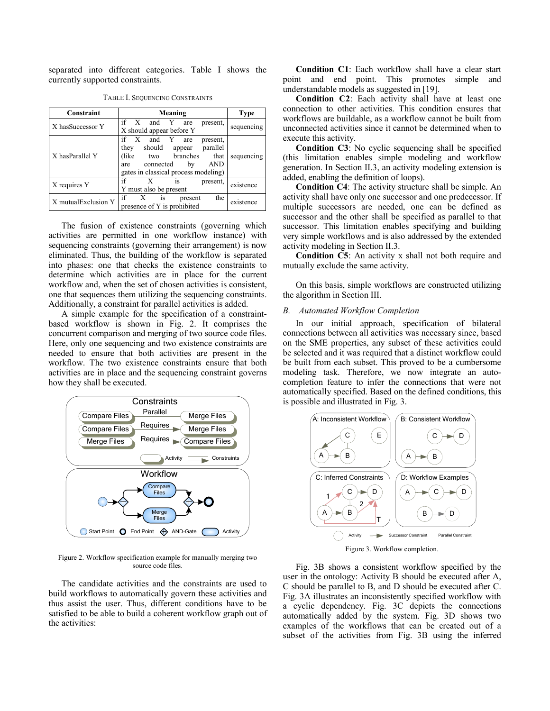separated into different categories. Table I shows the currently supported constraints.

| Constraint           | Meaning                                                                                                                                                                                | <b>Type</b> |
|----------------------|----------------------------------------------------------------------------------------------------------------------------------------------------------------------------------------|-------------|
| X hasSuccessor Y     | if X<br>and Y<br>present.<br>are<br>X should appear before Y                                                                                                                           | sequencing  |
| X hasParallel Y      | if X<br>and Y<br>present,<br>are<br>parallel<br>should<br>they<br>appear<br>(like)<br>branches<br>that<br>two<br>AND<br>connected<br>bv<br>are<br>gates in classical process modeling) | sequencing  |
| X requires Y         | if<br>X<br>present.<br>1S<br>Y must also be present                                                                                                                                    | existence   |
| X mutual Exclusion Y | if<br>$\mathbf{X}$<br>the<br><i>is</i><br>present<br>presence of Y is prohibited                                                                                                       | existence   |

TABLE I. SEQUENCING CONSTRAINTS

The fusion of existence constraints (governing which activities are permitted in one workflow instance) with sequencing constraints (governing their arrangement) is now eliminated. Thus, the building of the workflow is separated into phases: one that checks the existence constraints to determine which activities are in place for the current workflow and, when the set of chosen activities is consistent, one that sequences them utilizing the sequencing constraints. Additionally, a constraint for parallel activities is added.

A simple example for the specification of a constraintbased workflow is shown in Fig. 2. It comprises the concurrent comparison and merging of two source code files. Here, only one sequencing and two existence constraints are needed to ensure that both activities are present in the workflow. The two existence constraints ensure that both activities are in place and the sequencing constraint governs how they shall be executed.



Figure 2. Workflow specification example for manually merging two source code files.

The candidate activities and the constraints are used to build workflows to automatically govern these activities and thus assist the user. Thus, different conditions have to be satisfied to be able to build a coherent workflow graph out of the activities:

**Condition C1**: Each workflow shall have a clear start point and end point. This promotes simple and understandable models as suggested in [19].

**Condition C2**: Each activity shall have at least one connection to other activities. This condition ensures that workflows are buildable, as a workflow cannot be built from unconnected activities since it cannot be determined when to execute this activity.

**Condition C3**: No cyclic sequencing shall be specified (this limitation enables simple modeling and workflow generation. In Section II.3, an activity modeling extension is added, enabling the definition of loops).

**Condition C4**: The activity structure shall be simple. An activity shall have only one successor and one predecessor. If multiple successors are needed, one can be defined as successor and the other shall be specified as parallel to that successor. This limitation enables specifying and building very simple workflows and is also addressed by the extended activity modeling in Section II.3.

**Condition C5**: An activity x shall not both require and mutually exclude the same activity.

On this basis, simple workflows are constructed utilizing the algorithm in Section III.

## *B. Automated Workflow Completion*

In our initial approach, specification of bilateral connections between all activities was necessary since, based on the SME properties, any subset of these activities could be selected and it was required that a distinct workflow could be built from each subset. This proved to be a cumbersome modeling task. Therefore, we now integrate an autocompletion feature to infer the connections that were not automatically specified. Based on the defined conditions, this is possible and illustrated in Fig. 3.



Figure 3. Workflow completion.

Fig. 3B shows a consistent workflow specified by the user in the ontology: Activity B should be executed after A, C should be parallel to B, and D should be executed after C. Fig. 3A illustrates an inconsistently specified workflow with a cyclic dependency. Fig. 3C depicts the connections automatically added by the system. Fig. 3D shows two examples of the workflows that can be created out of a subset of the activities from Fig. 3B using the inferred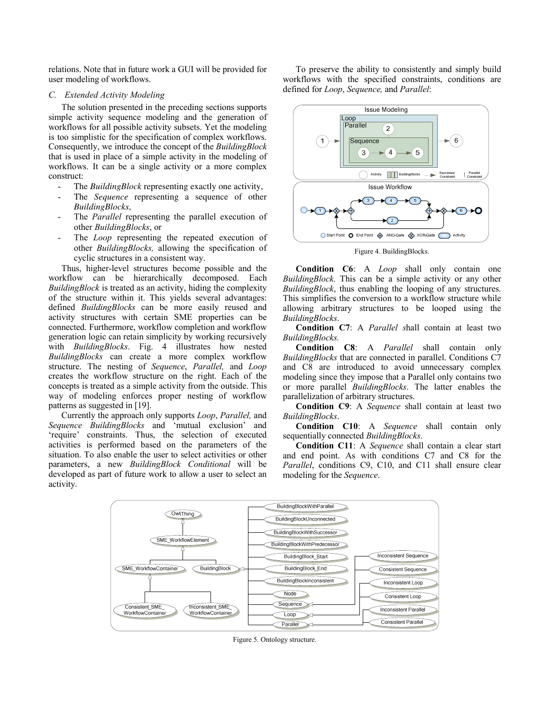relations. Note that in future work a GUI will be provided for user modeling of workflows.

### *C. Extended Activity Modeling*

The solution presented in the preceding sections supports simple activity sequence modeling and the generation of workflows for all possible activity subsets. Yet the modeling is too simplistic for the specification of complex workflows. Consequently, we introduce the concept of the *BuildingBlock* that is used in place of a simple activity in the modeling of workflows. It can be a single activity or a more complex construct:

- The *BuildingBlock* representing exactly one activity,
- The *Sequence* representing a sequence of other *BuildingBlocks*,
- The *Parallel* representing the parallel execution of other *BuildingBlocks*, or
- The *Loop* representing the repeated execution of other *BuildingBlocks,* allowing the specification of cyclic structures in a consistent way.

Thus, higher-level structures become possible and the workflow can be hierarchically decomposed. Each *BuildingBlock* is treated as an activity, hiding the complexity of the structure within it. This yields several advantages: defined *BuildingBlocks* can be more easily reused and activity structures with certain SME properties can be connected. Furthermore, workflow completion and workflow generation logic can retain simplicity by working recursively with *BuildingBlocks*. Fig. 4 illustrates how nested *BuildingBlocks* can create a more complex workflow structure. The nesting of *Sequence*, *Parallel,* and *Loop* creates the workflow structure on the right. Each of the concepts is treated as a simple activity from the outside. This way of modeling enforces proper nesting of workflow patterns as suggested in [19].

Currently the approach only supports *Loop*, *Parallel,* and *Sequence BuildingBlocks* and 'mutual exclusion' and 'require' constraints. Thus, the selection of executed activities is performed based on the parameters of the situation. To also enable the user to select activities or other parameters, a new *BuildingBlock Conditional* will be developed as part of future work to allow a user to select an activity.

To preserve the ability to consistently and simply build workflows with the specified constraints, conditions are defined for *Loop*, *Sequence,* and *Parallel*:



Figure 4. BuildingBlocks.

**Condition C6**: A *Loop* shall only contain one *BuildingBlock.* This can be a simple activity or any other *BuildingBlock*, thus enabling the looping of any structures. This simplifies the conversion to a workflow structure while allowing arbitrary structures to be looped using the *BuildingBlocks*.

**Condition C7**: A *Parallel s*hall contain at least two *BuildingBlocks.*

**Condition C8**: A *Parallel* shall contain only *BuildingBlocks* that are connected in parallel. Conditions C7 and C8 are introduced to avoid unnecessary complex modeling since they impose that a Parallel only contains two or more parallel *BuildingBlocks*. The latter enables the parallelization of arbitrary structures.

**Condition C9**: A *Sequence* shall contain at least two *BuildingBlocks*.

**Condition C10**: A *Sequence* shall contain only sequentially connected *BuildingBlocks*.

**Condition C11**: A *Sequence* shall contain a clear start and end point. As with conditions C7 and C8 for the *Parallel*, conditions C9, C10, and C11 shall ensure clear modeling for the *Sequence*.



Figure 5. Ontology structure.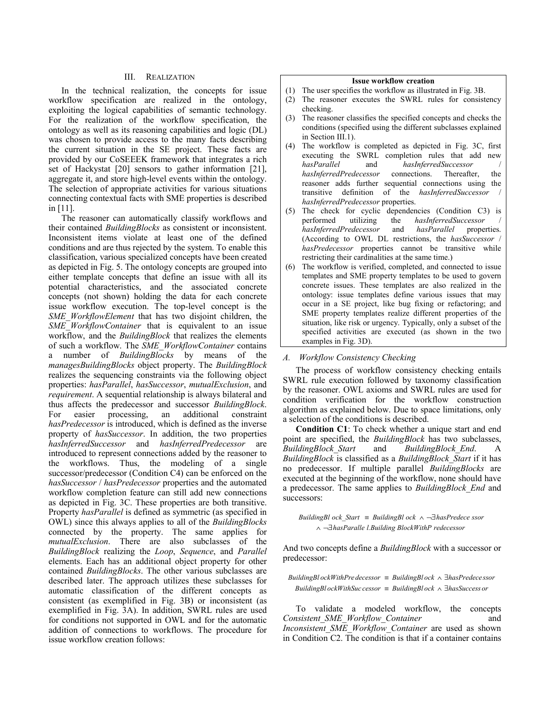#### III. REALIZATION

In the technical realization, the concepts for issue workflow specification are realized in the ontology, exploiting the logical capabilities of semantic technology. For the realization of the workflow specification, the ontology as well as its reasoning capabilities and logic (DL) was chosen to provide access to the many facts describing the current situation in the SE project. These facts are provided by our CoSEEEK framework that integrates a rich set of Hackystat [20] sensors to gather information [21], aggregate it, and store high-level events within the ontology. The selection of appropriate activities for various situations connecting contextual facts with SME properties is described in [11].

The reasoner can automatically classify workflows and their contained *BuildingBlocks* as consistent or inconsistent. Inconsistent items violate at least one of the defined conditions and are thus rejected by the system. To enable this classification, various specialized concepts have been created as depicted in Fig. 5. The ontology concepts are grouped into either template concepts that define an issue with all its potential characteristics, and the associated concrete concepts (not shown) holding the data for each concrete issue workflow execution. The top-level concept is the *SME\_WorkflowElement* that has two disjoint children, the *SME\_WorkflowContainer* that is equivalent to an issue workflow, and the *BuildingBlock* that realizes the elements of such a workflow. The *SME\_WorkflowContainer* contains a number of *BuildingBlocks* by means of the *managesBuildingBlocks* object property. The *BuildingBlock* realizes the sequencing constraints via the following object properties: *hasParallel*, *hasSuccessor*, *mutualExclusion*, and *requirement*. A sequential relationship is always bilateral and thus affects the predecessor and successor *BuildingBlock*. For easier processing, an additional constraint *hasPredecessor* is introduced, which is defined as the inverse property of *hasSuccessor*. In addition, the two properties *hasInferredSuccessor* and *hasInferredPredecessor* are introduced to represent connections added by the reasoner to the workflows. Thus, the modeling of a single successor/predecessor (Condition C4) can be enforced on the *hasSuccessor* / *hasPredecessor* properties and the automated workflow completion feature can still add new connections as depicted in Fig. 3C. These properties are both transitive. Property *hasParallel* is defined as symmetric (as specified in OWL) since this always applies to all of the *BuildingBlocks*  connected by the property. The same applies for *mutualExclusion*. There are also subclasses of the *BuildingBlock* realizing the *Loop*, *Sequence*, and *Parallel* elements. Each has an additional object property for other contained *BuildingBlocks*. The other various subclasses are described later. The approach utilizes these subclasses for automatic classification of the different concepts as consistent (as exemplified in Fig. 3B) or inconsistent (as exemplified in Fig. 3A). In addition, SWRL rules are used for conditions not supported in OWL and for the automatic addition of connections to workflows. The procedure for issue workflow creation follows:

#### **Issue workflow creation**

- (1) The user specifies the workflow as illustrated in Fig. 3B.
- (2) The reasoner executes the SWRL rules for consistency checking.
- (3) The reasoner classifies the specified concepts and checks the conditions (specified using the different subclasses explained in Section III.1).
- (4) The workflow is completed as depicted in Fig. 3C, first executing the SWRL completion rules that add new *hasParallel* and *hasInferredSuccessor hasInferredPredecessor* connections. Thereafter, the reasoner adds further sequential connections using the transitive definition of the *hasInferredSuccessor hasInferredPredecessor* properties.
- (5) The check for cyclic dependencies (Condition C3) is performed utilizing the *hasInferredSuccessor hasInferredPredecessor* and *hasParallel* properties. (According to OWL DL restrictions, the *hasSuccessor* / *hasPredecessor* properties cannot be transitive while restricting their cardinalities at the same time.)
- (6) The workflow is verified, completed, and connected to issue templates and SME property templates to be used to govern concrete issues. These templates are also realized in the ontology: issue templates define various issues that may occur in a SE project, like bug fixing or refactoring; and SME property templates realize different properties of the situation, like risk or urgency. Typically, only a subset of the specified activities are executed (as shown in the two examples in Fig. 3D).

# *A. Workflow Consistency Checking*

The process of workflow consistency checking entails SWRL rule execution followed by taxonomy classification by the reasoner. OWL axioms and SWRL rules are used for condition verification for the workflow construction algorithm as explained below. Due to space limitations, only a selection of the conditions is described.

**Condition C1**: To check whether a unique start and end point are specified, the *BuildingBlock* has two subclasses, *BuildingBlock\_Start* and *BuildingBlock\_End*. A *BuildingBlock* is classified as a *BuildingBlock\_Start* if it has no predecessor. If multiple parallel *BuildingBlocks* are executed at the beginning of the workflow, none should have a predecessor. The same applies to *BuildingBlock\_End* and successors:

*hasParalle l.Building BlockWithP redecessor* ∧ ¬∃ *BuildingBl ock\_Start* = *BuildingBl ock* ∧ ¬∃*hasPredece ssor* 

And two concepts define a *BuildingBlock* with a successor or predecessor:

*BuildingBl ockWithSuc cessor* = *BuildingBl ock* ∧ ∃hasSuccess or *BuildingBl ockWithPredecessor BuildingBl ock hasPredece ssor* ≡ ∧ ∃

To validate a modeled workflow, the concepts *Consistent\_SME\_Workflow\_Container* and *Inconsistent\_SME\_Workflow\_Container* are used as shown in Condition C2. The condition is that if a container contains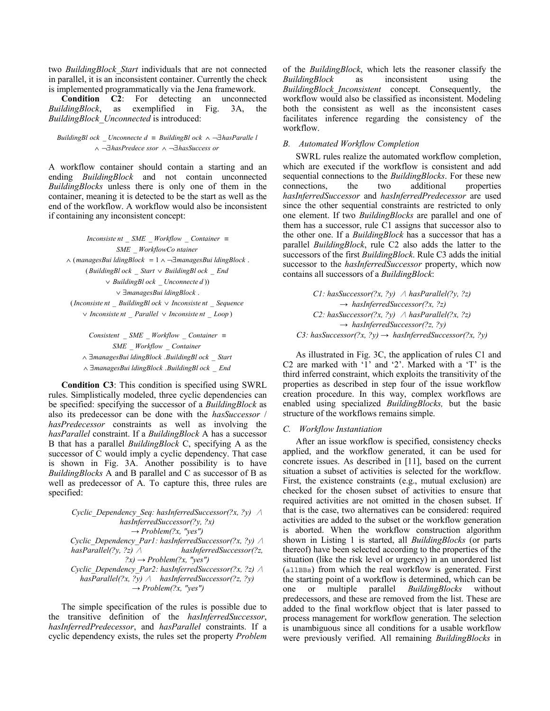two *BuildingBlock\_Start* individuals that are not connected in parallel, it is an inconsistent container. Currently the check is implemented programmatically via the Jena framework.

**Condition C2**: For detecting an unconnected *BuildingBlock*, as exemplified in Fig. 3A, the *BuildingBlock\_Unconnected* is introduced:

*hasPredece ssor hasSuccess or* ∧ ¬∃ ∧ ¬∃ *BuildingBl ock*  $\angle$  *Unconnecte d* = *BuildingBl ock* ∧ ¬∃*hasParalle l* 

A workflow container should contain a starting and an ending *BuildingBlock* and not contain unconnected *BuildingBlocks* unless there is only one of them in the container, meaning it is detected to be the start as well as the end of the workflow. A workflow would also be inconsistent if containing any inconsistent concept:

```
Inconsiste nt Parallel Inconsiste nt Loop
_ _ )
∨ ∨
 Inconsiste nt BuildingBl ock Inconsiste nt Sequence
( _ _
∨
                 managesBui ldingBlock
.
∨ ∃
             BuildingBl ock Unconnecte d
_ ))
∨
      BuildingBl ock Start BuildingBl ock End
( _ _
∨
\wedge (managesBui ldingBlock = 1 \wedge ¬∃managesBui ldingBlock.
                 SME WorkflowCo ntainer
_
       Inconsiste nt \_SME \_Workflow \_Container \equiv
```
*managesBui ldingBlock BuildingBl ock End* . \_ ∧ ∃ *managesBui ldingBlock BuildingBl ock Start* . \_ ∧ ∃  $SME$  *Workflow Container*  $Consider$   $SME$  *Workflow Container*  $\equiv$ 

**Condition C3**: This condition is specified using SWRL rules. Simplistically modeled, three cyclic dependencies can be specified: specifying the successor of a *BuildingBlock* as also its predecessor can be done with the *hasSuccessor* / *hasPredecessor* constraints as well as involving the *hasParallel* constraint. If a *BuildingBlock* A has a successor B that has a parallel *BuildingBlock* C, specifying A as the successor of C would imply a cyclic dependency. That case is shown in Fig. 3A. Another possibility is to have *BuildingBlocks* A and B parallel and C as successor of B as well as predecessor of A. To capture this, three rules are specified:

*Cyclic\_Dependency\_Seq: hasInferredSuccessor(?x, ?y)* ∧ *hasInferredSuccessor(?y, ?x) → Problem(?x, "yes") Cyclic\_Dependency\_Par1: hasInferredSuccessor(?x, ?y)* ∧ *hasParallel(?y, ?z)* ∧ *hasInferredSuccessor(?z,*   $?x) \rightarrow Problem(?x, "ves")$ *Cyclic\_Dependency\_Par2: hasInferredSuccessor(?x, ?z)* ∧ *hasParallel(?x, ?y)* ∧ *hasInferredSuccessor(?z, ?y) → Problem(?x, "yes")* 

The simple specification of the rules is possible due to the transitive definition of the *hasInferredSuccessor*, *hasInferredPredecessor*, and *hasParallel* constraints. If a cyclic dependency exists, the rules set the property *Problem* of the *BuildingBlock*, which lets the reasoner classify the *BuildingBlock* as inconsistent using the *BuildingBlock\_Inconsistent* concept. Consequently, the workflow would also be classified as inconsistent. Modeling both the consistent as well as the inconsistent cases facilitates inference regarding the consistency of the workflow.

### *B. Automated Workflow Completion*

SWRL rules realize the automated workflow completion, which are executed if the workflow is consistent and add sequential connections to the *BuildingBlocks*. For these new connections, the two additional properties *hasInferredSuccessor* and *hasInferredPredecessor* are used since the other sequential constraints are restricted to only one element. If two *BuildingBlocks* are parallel and one of them has a successor, rule C1 assigns that successor also to the other one. If a *BuildingBlock* has a successor that has a parallel *BuildingBlock*, rule C2 also adds the latter to the successors of the first *BuildingBlock*. Rule C3 adds the initial successor to the *hasInferredSuccessor* property, which now contains all successors of a *BuildingBlock*:

```
C1: hasSuccessor(?x, ?y) ∧ hasParallel(?y, ?z) 
             → hasInferredSuccessor(?x, ?z) 
     C2: hasSuccessor(?x, ?y) \land hasParallel(?x, ?z)
             → hasInferredSuccessor(?z, ?y) 
C3: hasSuccessor(?x, ?y) \rightarrow hasInferredSuccessor(?x, ?y)
```
As illustrated in Fig. 3C, the application of rules C1 and C2 are marked with '1' and '2'. Marked with a 'T' is the third inferred constraint, which exploits the transitivity of the properties as described in step four of the issue workflow creation procedure. In this way, complex workflows are enabled using specialized *BuildingBlocks,* but the basic structure of the workflows remains simple.

## *C. Workflow Instantiation*

After an issue workflow is specified, consistency checks applied, and the workflow generated, it can be used for concrete issues. As described in [11], based on the current situation a subset of activities is selected for the workflow. First, the existence constraints (e.g., mutual exclusion) are checked for the chosen subset of activities to ensure that required activities are not omitted in the chosen subset. If that is the case, two alternatives can be considered: required activities are added to the subset or the workflow generation is aborted. When the workflow construction algorithm shown in Listing 1 is started, all *BuildingBlocks* (or parts thereof) have been selected according to the properties of the situation (like the risk level or urgency) in an unordered list (allBBs) from which the real workflow is generated. First the starting point of a workflow is determined, which can be one or multiple parallel *BuildingBlocks* without predecessors, and these are removed from the list. These are added to the final workflow object that is later passed to process management for workflow generation. The selection is unambiguous since all conditions for a usable workflow were previously verified. All remaining *BuildingBlocks* in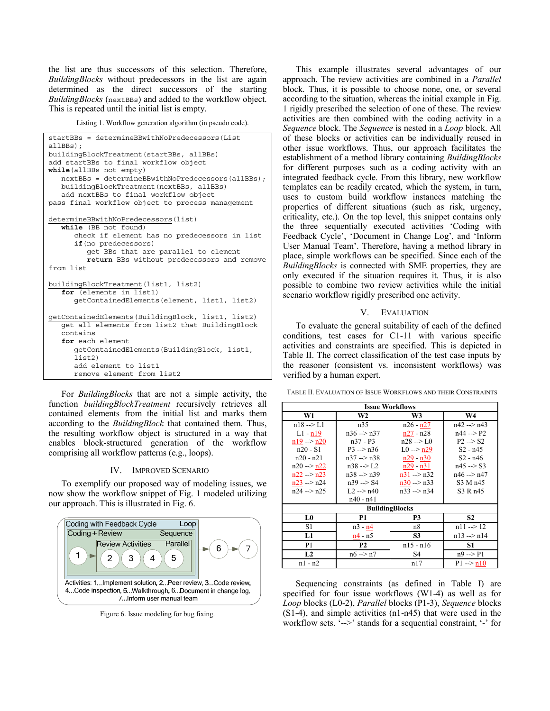the list are thus successors of this selection. Therefore, *BuildingBlocks* without predecessors in the list are again determined as the direct successors of the starting *BuildingBlocks* (nextBBs) and added to the workflow object. This is repeated until the initial list is empty.

Listing 1. Workflow generation algorithm (in pseudo code).

```
startBBs = determineBBwithNoPredecessors(List 
allBBs); 
buildingBlockTreatment(startBBs, allBBs) 
add startBBs to final workflow object 
while(allBBs not empty) 
   nextBBs = determineBBwithNoPredecessors(allBBs);
    buildingBlockTreatment(nextBBs, allBBs) 
    add nextBBs to final workflow object 
pass final workflow object to process management 
determineBBwithNoPredecessors(list) 
    while (BB not found) 
       check if element has no predecessors in list 
       if(no predecessors) 
          get BBs that are parallel to element 
          return BBs without predecessors and remove 
from list 
buildingBlockTreatment(list1, list2) 
    for (elements in list1) 
       getContainedElements(element, list1, list2) 
getContainedElements(BuildingBlock, list1, list2) 
    get all elements from list2 that BuildingBlock 
    contains 
    for each element 
       getContainedElements(BuildingBlock, list1, 
       list2) 
       add element to list1 
       remove element from list2
```
For *BuildingBlocks* that are not a simple activity, the function *buildingBlockTreatment* recursively retrieves all contained elements from the initial list and marks them according to the *BuildingBlock* that contained them. Thus, the resulting workflow object is structured in a way that enables block-structured generation of the workflow comprising all workflow patterns (e.g., loops).

#### IV. IMPROVED SCENARIO

To exemplify our proposed way of modeling issues, we now show the workflow snippet of Fig. 1 modeled utilizing our approach. This is illustrated in Fig. 6.



Figure 6. Issue modeling for bug fixing.

This example illustrates several advantages of our approach. The review activities are combined in a *Parallel*  block. Thus, it is possible to choose none, one, or several according to the situation, whereas the initial example in Fig. 1 rigidly prescribed the selection of one of these. The review activities are then combined with the coding activity in a *Sequence* block. The *Sequence* is nested in a *Loop* block. All of these blocks or activities can be individually reused in other issue workflows. Thus, our approach facilitates the establishment of a method library containing *BuildingBlocks* for different purposes such as a coding activity with an integrated feedback cycle. From this library, new workflow templates can be readily created, which the system, in turn, uses to custom build workflow instances matching the properties of different situations (such as risk, urgency, criticality, etc.). On the top level, this snippet contains only the three sequentially executed activities 'Coding with Feedback Cycle', 'Document in Change Log', and 'Inform User Manual Team'. Therefore, having a method library in place, simple workflows can be specified. Since each of the *BuildingBlocks* is connected with SME properties, they are only executed if the situation requires it. Thus, it is also possible to combine two review activities while the initial scenario workflow rigidly prescribed one activity.

#### V. EVALUATION

To evaluate the general suitability of each of the defined conditions, test cases for C1-11 with various specific activities and constraints are specified. This is depicted in Table II. The correct classification of the test case inputs by the reasoner (consistent vs. inconsistent workflows) was verified by a human expert.

TABLE II. EVALUATION OF ISSUE WORKFLOWS AND THEIR CONSTRAINTS

| <b>Issue Workflows</b> |                       |                       |                       |  |  |  |  |
|------------------------|-----------------------|-----------------------|-----------------------|--|--|--|--|
| W1                     | W2                    | W3                    | W4                    |  |  |  |  |
| $n18 - D1$             | n35                   | $n26 - n27$           | $n42 \rightarrow n43$ |  |  |  |  |
| $L1 - n19$             | $n36 \rightarrow n37$ | $n27 - n28$           | $n44 \rightarrow P2$  |  |  |  |  |
| $n19 \rightarrow n20$  | n37 - P3              | $n28 \rightarrow L0$  | $P2 \rightarrow S2$   |  |  |  |  |
| $n20 - S1$             | $P3 \rightarrow 0.36$ | $L0 \rightarrow n29$  | $S2 - n45$            |  |  |  |  |
| $n20 - n21$            | $n37 \rightarrow n38$ | $n29 - n30$           | $S2 - n46$            |  |  |  |  |
| $n20 \rightarrow n22$  | $n38 \rightarrow L2$  | $n29 - n31$           | $n45 \rightarrow S3$  |  |  |  |  |
| $n22 \rightarrow n23$  | n38 --> n39           | $n31 \rightarrow n32$ | $n46 \rightarrow n47$ |  |  |  |  |
| $n23 \rightarrow n24$  | $n39 \rightarrow S4$  | $n30 \rightarrow n33$ | S3 M n45              |  |  |  |  |
| $n24 \rightarrow n25$  | $L2 \rightarrow 140$  | $n33 \rightarrow n34$ | S3 R n45              |  |  |  |  |
|                        | $n40 - n41$           |                       |                       |  |  |  |  |
| <b>BuildingBlocks</b>  |                       |                       |                       |  |  |  |  |
| L0                     | P1                    | P3                    | S <sub>2</sub>        |  |  |  |  |
| S1                     | $n3 - n4$             | n8                    | $n11 - > 12$          |  |  |  |  |
| L1                     | n4 - n5               | S <sub>3</sub>        | $n13 \rightarrow n14$ |  |  |  |  |
| P <sub>1</sub>         | <b>P2</b>             | $n15 - n16$           | S1                    |  |  |  |  |
| L <sub>2</sub>         | $n6 \rightarrow n7$   | S4                    | $n9 \rightarrow P1$   |  |  |  |  |
| n1 - n2                |                       | n17                   | $P1 \rightarrow n10$  |  |  |  |  |

Sequencing constraints (as defined in Table I) are specified for four issue workflows (W1-4) as well as for *Loop* blocks (L0-2), *Parallel* blocks (P1-3), *Sequence* blocks (S1-4), and simple activities (n1-n45) that were used in the workflow sets. '-->' stands for a sequential constraint, '-' for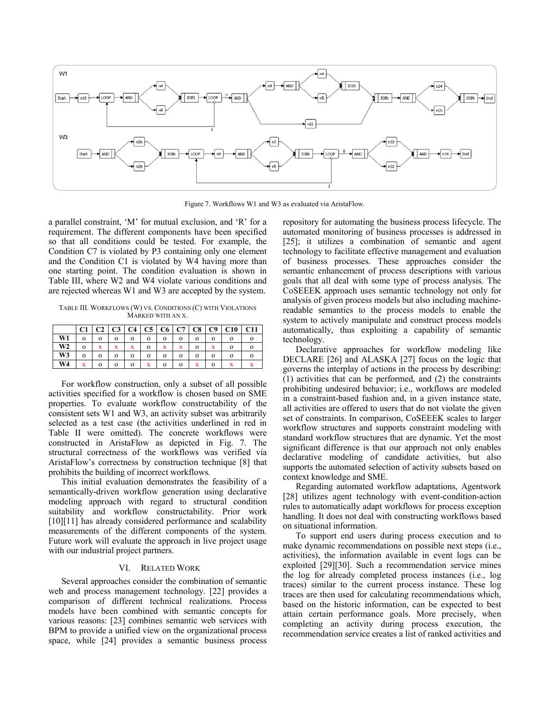

Figure 7. Workflows W1 and W3 as evaluated via AristaFlow.

a parallel constraint, 'M' for mutual exclusion, and 'R' for a requirement. The different components have been specified so that all conditions could be tested. For example, the Condition C7 is violated by P3 containing only one element and the Condition C1 is violated by W4 having more than one starting point. The condition evaluation is shown in Table III, where W2 and W4 violate various conditions and are rejected whereas W1 and W3 are accepted by the system.

TABLE III. WORKFLOWS (W) VS. CONDITIONS (C) WITH VIOLATIONS MARKED WITH AN X.

|                |          |   | C <sub>3</sub> | $\overline{C4}$ |         | $\mid$ C <sub>5</sub> $\mid$ C <sub>6</sub> $\mid$ C <sub>7</sub> |          | <sub>C8</sub> | C9 | C10 | $ $ C11 |
|----------------|----------|---|----------------|-----------------|---------|-------------------------------------------------------------------|----------|---------------|----|-----|---------|
| W1             | $\Omega$ |   |                | O               | o       | 0                                                                 | $\circ$  |               |    |     |         |
| W <sub>2</sub> | $\Omega$ | v |                | x               | O       |                                                                   | X        |               |    |     |         |
| W3             | $\Omega$ | о | O              | O               | $\circ$ | 0                                                                 | $\circ$  | о             |    |     |         |
| W4             | X        |   | O              | O               |         | 0                                                                 | $\Omega$ |               |    |     |         |

For workflow construction, only a subset of all possible activities specified for a workflow is chosen based on SME properties. To evaluate workflow constructability of the consistent sets W1 and W3, an activity subset was arbitrarily selected as a test case (the activities underlined in red in Table II were omitted). The concrete workflows were constructed in AristaFlow as depicted in Fig. 7. The structural correctness of the workflows was verified via AristaFlow's correctness by construction technique [8] that prohibits the building of incorrect workflows.

This initial evaluation demonstrates the feasibility of a semantically-driven workflow generation using declarative modeling approach with regard to structural condition suitability and workflow constructability. Prior work [10][11] has already considered performance and scalability measurements of the different components of the system. Future work will evaluate the approach in live project usage with our industrial project partners.

#### VI. RELATED WORK

Several approaches consider the combination of semantic web and process management technology. [22] provides a comparison of different technical realizations. Process models have been combined with semantic concepts for various reasons: [23] combines semantic web services with BPM to provide a unified view on the organizational process space, while [24] provides a semantic business process repository for automating the business process lifecycle. The automated monitoring of business processes is addressed in [25]; it utilizes a combination of semantic and agent technology to facilitate effective management and evaluation of business processes. These approaches consider the semantic enhancement of process descriptions with various goals that all deal with some type of process analysis. The CoSEEEK approach uses semantic technology not only for analysis of given process models but also including machinereadable semantics to the process models to enable the system to actively manipulate and construct process models automatically, thus exploiting a capability of semantic technology.

Declarative approaches for workflow modeling like DECLARE [26] and ALASKA [27] focus on the logic that governs the interplay of actions in the process by describing: (1) activities that can be performed, and (2) the constraints prohibiting undesired behavior; i.e., workflows are modeled in a constraint-based fashion and, in a given instance state, all activities are offered to users that do not violate the given set of constraints. In comparison, CoSEEEK scales to larger workflow structures and supports constraint modeling with standard workflow structures that are dynamic. Yet the most significant difference is that our approach not only enables declarative modeling of candidate activities, but also supports the automated selection of activity subsets based on context knowledge and SME.

Regarding automated workflow adaptations, Agentwork [28] utilizes agent technology with event-condition-action rules to automatically adapt workflows for process exception handling. It does not deal with constructing workflows based on situational information.

To support end users during process execution and to make dynamic recommendations on possible next steps (i.e., activities), the information available in event logs can be exploited [29][30]. Such a recommendation service mines the log for already completed process instances (i.e., log traces) similar to the current process instance. These log traces are then used for calculating recommendations which, based on the historic information, can be expected to best attain certain performance goals. More precisely, when completing an activity during process execution, the recommendation service creates a list of ranked activities and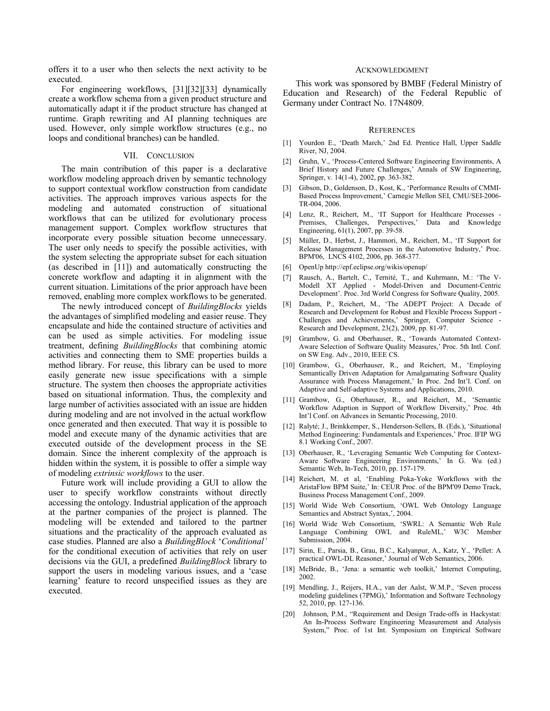offers it to a user who then selects the next activity to be executed.

For engineering workflows, [31][32][33] dynamically create a workflow schema from a given product structure and automatically adapt it if the product structure has changed at runtime. Graph rewriting and AI planning techniques are used. However, only simple workflow structures (e.g., no loops and conditional branches) can be handled.

#### VII. CONCLUSION

The main contribution of this paper is a declarative workflow modeling approach driven by semantic technology to support contextual workflow construction from candidate activities. The approach improves various aspects for the modeling and automated construction of situational workflows that can be utilized for evolutionary process management support. Complex workflow structures that incorporate every possible situation become unnecessary. The user only needs to specify the possible activities, with the system selecting the appropriate subset for each situation (as described in [11]) and automatically constructing the concrete workflow and adapting it in alignment with the current situation. Limitations of the prior approach have been removed, enabling more complex workflows to be generated.

The newly introduced concept of *BuildingBlocks* yields the advantages of simplified modeling and easier reuse. They encapsulate and hide the contained structure of activities and can be used as simple activities. For modeling issue treatment, defining *BuildingBlocks* that combining atomic activities and connecting them to SME properties builds a method library. For reuse, this library can be used to more easily generate new issue specifications with a simple structure. The system then chooses the appropriate activities based on situational information. Thus, the complexity and large number of activities associated with an issue are hidden during modeling and are not involved in the actual workflow once generated and then executed. That way it is possible to model and execute many of the dynamic activities that are executed outside of the development process in the SE domain. Since the inherent complexity of the approach is hidden within the system, it is possible to offer a simple way of modeling *extrinsic workflows* to the user.

Future work will include providing a GUI to allow the user to specify workflow constraints without directly accessing the ontology. Industrial application of the approach at the partner companies of the project is planned. The modeling will be extended and tailored to the partner situations and the practicality of the approach evaluated as case studies. Planned are also a *BuildingBlock* '*Conditional'* for the conditional execution of activities that rely on user decisions via the GUI, a predefined *BuildingBlock* library to support the users in modeling various issues, and a 'case learning' feature to record unspecified issues as they are executed.

#### ACKNOWLEDGMENT

This work was sponsored by BMBF (Federal Ministry of Education and Research) of the Federal Republic of Germany under Contract No. 17N4809.

#### **REFERENCES**

- [1] Yourdon E., 'Death March,' 2nd Ed. Prentice Hall, Upper Saddle River, NJ, 2004.
- [2] Gruhn, V., 'Process-Centered Software Engineering Environments, A Brief History and Future Challenges,' Annals of SW Engineering, Springer, v. 14(1-4), 2002, pp. 363-382.
- [3] Gibson, D., Goldenson, D., Kost, K., 'Performance Results of CMMI-Based Process Improvement,' Carnegie Mellon SEI, CMU/SEI-2006- TR-004, 2006.
- [4] Lenz, R., Reichert, M., 'IT Support for Healthcare Processes Premises, Challenges, Perspectives,' Data and Knowledge Engineering, 61(1), 2007, pp. 39-58.
- [5] Müller, D., Herbst, J., Hammori, M., Reichert, M., 'IT Support for Release Management Processes in the Automotive Industry,' Proc. BPM'06, LNCS 4102, 2006, pp. 368-377.
- [6] OpenUp http://epf.eclipse.org/wikis/openup/
- [7] Rausch, A., Bartelt, C., Ternité, T., and Kuhrmann, M.: 'The V-Modell XT Applied - Model-Driven and Document-Centric Development'. Proc. 3rd World Congress for Software Quality, 2005.
- [8] Dadam, P., Reichert, M., 'The ADEPT Project: A Decade of Research and Development for Robust and Flexible Process Support - Challenges and Achievements,' Springer, Computer Science - Research and Development, 23(2), 2009, pp. 81-97.
- [9] Grambow, G. and Oberhauser, R., 'Towards Automated Context-Aware Selection of Software Quality Measures,' Proc. 5th Intl. Conf. on SW Eng. Adv., 2010, IEEE CS.
- [10] Grambow, G., Oberhauser, R., and Reichert, M., 'Employing Semantically Driven Adaptation for Amalgamating Software Quality Assurance with Process Management,' In Proc. 2nd Int'l. Conf. on Adaptive and Self-adaptive Systems and Applications, 2010.
- [11] Grambow, G., Oberhauser, R., and Reichert, M., 'Semantic Workflow Adaption in Support of Workflow Diversity,' Proc. 4th Int'l Conf. on Advances in Semantic Processing, 2010.
- [12] Ralyté; J., Brinkkemper, S., Henderson-Sellers, B. (Eds.), 'Situational Method Engineering: Fundamentals and Experiences,' Proc. IFIP WG 8.1 Working Conf., 2007.
- [13] Oberhauser, R., 'Leveraging Semantic Web Computing for Context-Aware Software Engineering Environments,' In G. Wu (ed.) Semantic Web, In-Tech, 2010, pp. 157-179.
- [14] Reichert, M. et al, 'Enabling Poka-Yoke Workflows with the AristaFlow BPM Suite,' In: CEUR Proc. of the BPM'09 Demo Track, Business Process Management Conf., 2009.
- [15] World Wide Web Consortium, 'OWL Web Ontology Language Semantics and Abstract Syntax,', 2004.
- [16] World Wide Web Consortium, 'SWRL: A Semantic Web Rule Language Combining OWL and RuleML,' W3C Member Submission, 2004.
- [17] Sirin, E., Parsia, B., Grau, B.C., Kalyanpur, A., Katz, Y., 'Pellet: A practical OWL-DL Reasoner,' Journal of Web Semantics, 2006.
- [18] McBride, B., 'Jena: a semantic web toolkit,' Internet Computing, 2002.
- [19] Mendling, J., Reijers, H.A., van der Aalst, W.M.P., 'Seven process modeling guidelines (7PMG),' Information and Software Technology 52, 2010, pp. 127-136.
- [20] Johnson, P.M., "Requirement and Design Trade-offs in Hackystat: An In-Process Software Engineering Measurement and Analysis System," Proc. of 1st Int. Symposium on Empirical Software